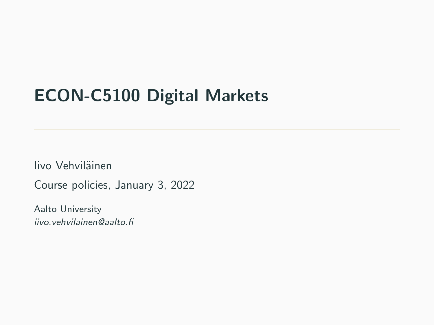## ECON-C5100 Digital Markets

Iivo Vehviläinen

Course policies, January 3, 2022

Aalto University iivo.vehvilainen@aalto.fi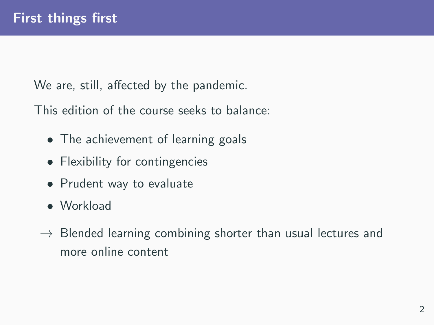We are, still, affected by the pandemic.

This edition of the course seeks to balance:

- The achievement of learning goals
- Flexibility for contingencies
- Prudent way to evaluate
- Workload
- $\rightarrow$  Blended learning combining shorter than usual lectures and more online content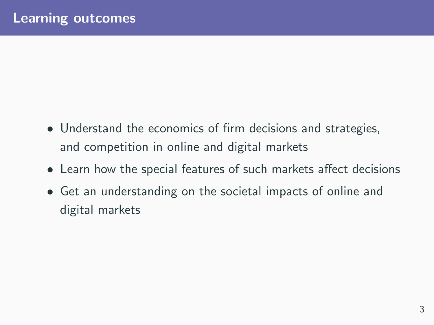- Understand the economics of firm decisions and strategies, and competition in online and digital markets
- Learn how the special features of such markets affect decisions
- Get an understanding on the societal impacts of online and digital markets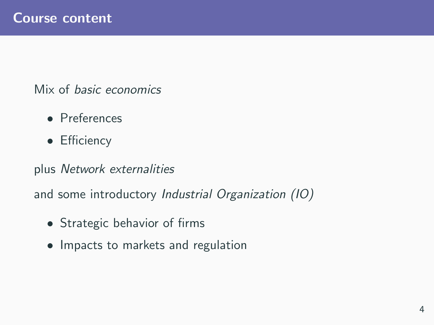Mix of basic economics

- Preferences
- Efficiency

plus Network externalities

and some introductory Industrial Organization (IO)

- Strategic behavior of firms
- Impacts to markets and regulation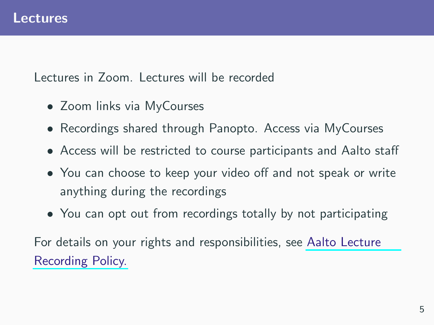Lectures in Zoom. Lectures will be recorded

- Zoom links via MyCourses
- Recordings shared through Panopto. Access via MyCourses
- Access will be restricted to course participants and Aalto staff
- You can choose to keep your video off and not speak or write anything during the recordings
- You can opt out from recordings totally by not participating

For details on your rights and responsibilities, see [Aalto Lecture](https://wiki.aalto.fi/display/OPIT/LECTURE+RECORDING+POLICY) [Recording Policy.](https://wiki.aalto.fi/display/OPIT/LECTURE+RECORDING+POLICY)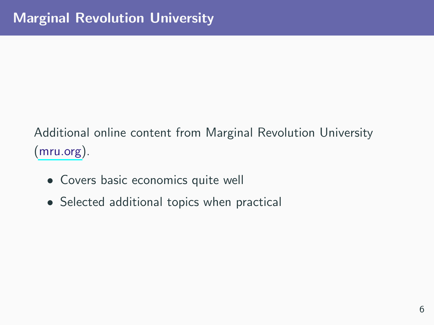Additional online content from Marginal Revolution University [\(mru.org\)](https://mru.org/).

- Covers basic economics quite well
- Selected additional topics when practical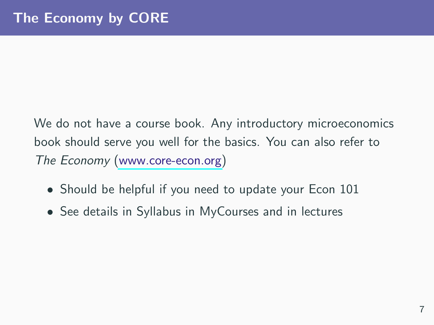We do not have a course book. Any introductory microeconomics book should serve you well for the basics. You can also refer to The Economy [\(www.core-econ.org\)](https://www.core-econ.org)

- Should be helpful if you need to update your Econ 101
- See details in Syllabus in MyCourses and in lectures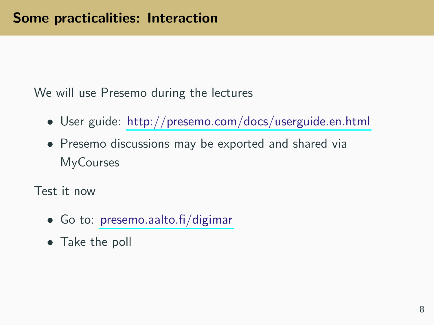We will use Presemo during the lectures

- User guide: <http://presemo.com/docs/userguide.en.html>
- Presemo discussions may be exported and shared via **MyCourses**

Test it now

- Go to: [presemo.aalto.fi/digimar](http://presemo.aalto.fi/digimar)
- Take the poll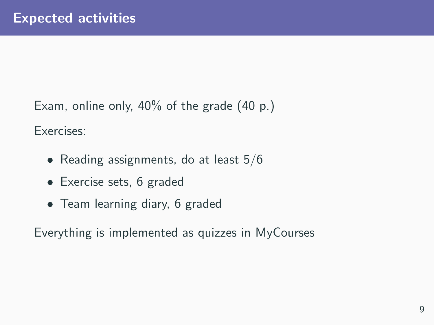Exam, online only, 40% of the grade (40 p.)

Exercises:

- Reading assignments, do at least 5/6
- Exercise sets, 6 graded
- Team learning diary, 6 graded

Everything is implemented as quizzes in MyCourses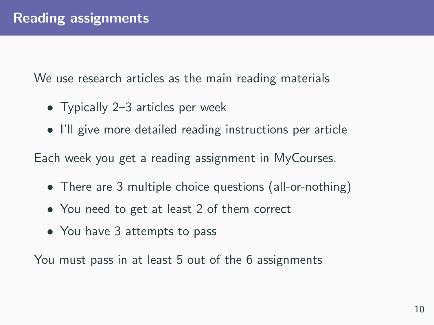We use research articles as the main reading materials

- Typically 2–3 articles per week
- I'll give more detailed reading instructions per article

Each week you get a reading assignment in MyCourses.

- There are 3 multiple choice questions (all-or-nothing)
- You need to get at least 2 of them correct
- You have 3 attempts to pass

You must pass in at least 5 out of the 6 assignments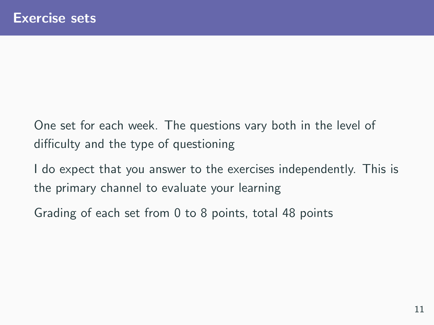One set for each week. The questions vary both in the level of difficulty and the type of questioning

I do expect that you answer to the exercises independently. This is the primary channel to evaluate your learning

Grading of each set from 0 to 8 points, total 48 points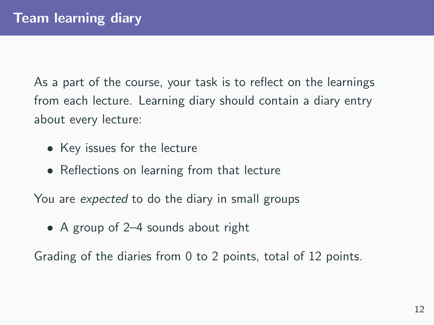As a part of the course, your task is to reflect on the learnings from each lecture. Learning diary should contain a diary entry about every lecture:

- Key issues for the lecture
- Reflections on learning from that lecture

You are *expected* to do the diary in small groups

• A group of 2–4 sounds about right

Grading of the diaries from 0 to 2 points, total of 12 points.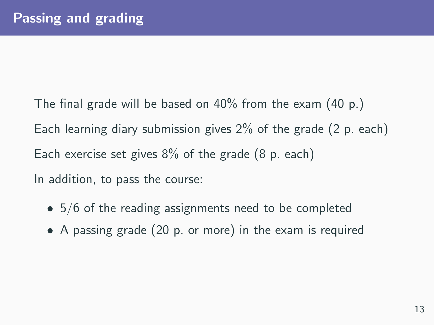The final grade will be based on 40% from the exam (40 p.) Each learning diary submission gives 2% of the grade (2 p. each) Each exercise set gives 8% of the grade (8 p. each) In addition, to pass the course:

- 5/6 of the reading assignments need to be completed
- A passing grade (20 p. or more) in the exam is required